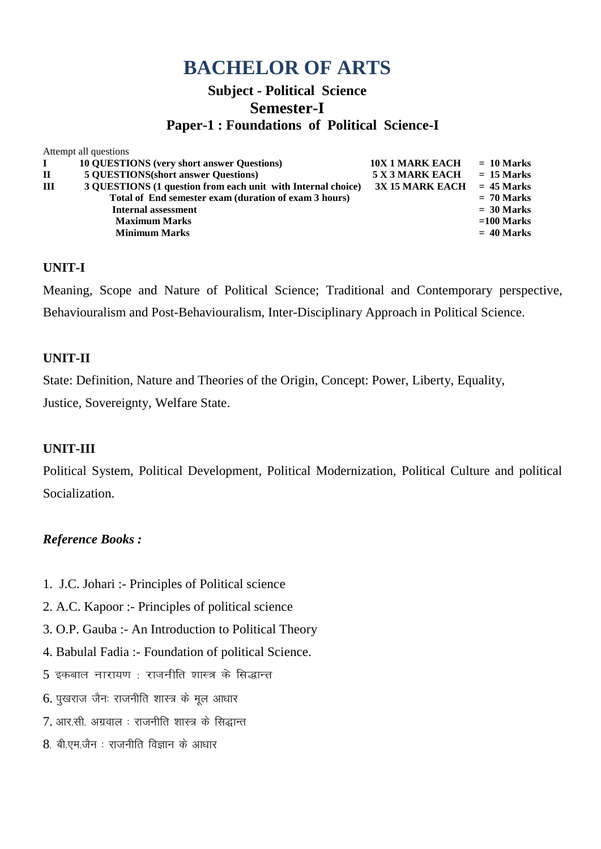## **Subject - Political Science Semester-I**

### **Paper-1 : Foundations of Political Science-I**

|              | Attempt all questions                                        |                        |              |
|--------------|--------------------------------------------------------------|------------------------|--------------|
| $\bf{I}$     | <b>10 QUESTIONS (very short answer Questions)</b>            | <b>10X 1 MARK EACH</b> | $= 10$ Marks |
| $\mathbf{H}$ | <b>5 QUESTIONS</b> (short answer Questions)                  | 5 X 3 MARK EACH        | $= 15$ Marks |
| III          | 3 QUESTIONS (1 question from each unit with Internal choice) | <b>3X 15 MARK EACH</b> | $= 45$ Marks |
|              | Total of End semester exam (duration of exam 3 hours)        |                        | $= 70$ Marks |
|              | Internal assessment                                          |                        | $= 30$ Marks |
|              | <b>Maximum Marks</b>                                         |                        | $=100$ Marks |
|              | <b>Minimum Marks</b>                                         |                        | $= 40$ Marks |

### **UNIT-I**

Meaning, Scope and Nature of Political Science; Traditional and Contemporary perspective, Behaviouralism and Post-Behaviouralism, Inter-Disciplinary Approach in Political Science.

### **UNIT-II**

State: Definition, Nature and Theories of the Origin, Concept: Power, Liberty, Equality, Justice, Sovereignty, Welfare State.

### **UNIT-III**

Political System, Political Development, Political Modernization, Political Culture and political Socialization.

- 1. J.C. Johari :- Principles of Political science
- 2. A.C. Kapoor :- Principles of political science
- 3. O.P. Gauba :- An Introduction to Political Theory
- 4. Babulal Fadia :- Foundation of political Science.
- $5$  इकबाल नारायण: राजनीति शास्त्र के सिद्धान्त
- $6.$  पुखराज जैनः राजनीति शास्त्र के मूल आधार
- $7.$  आर.सी. अग्रवाल : राजनीति शास्त्र के सिद्धान्त
- $8.$  बी.एम.जैन : राजनीति विज्ञान के आधार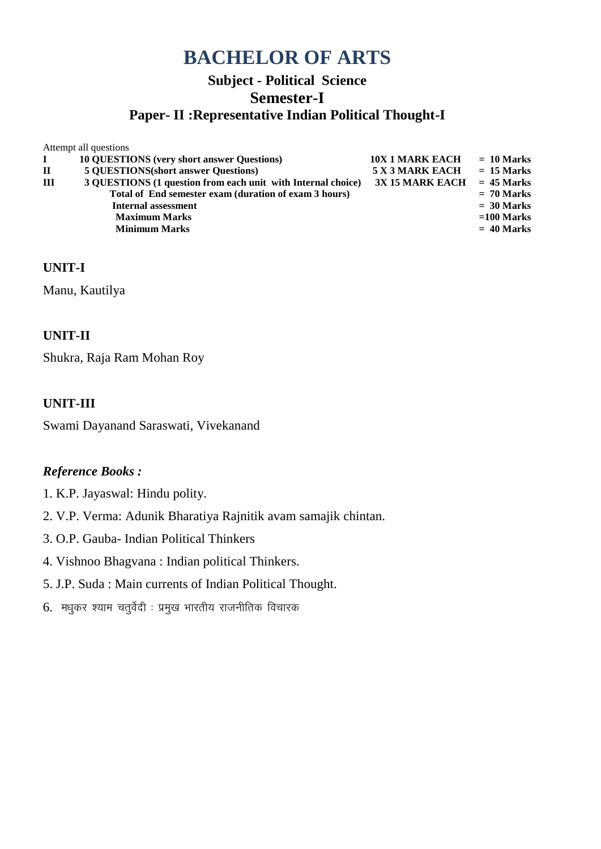# **Subject - Political Science Semester-I**

## **Paper- II :Representative Indian Political Thought-I**

|              | Atturned an questions                                        |                        |              |
|--------------|--------------------------------------------------------------|------------------------|--------------|
|              | <b>10 QUESTIONS (very short answer Questions)</b>            | <b>10X 1 MARK EACH</b> | $= 10$ Marks |
| $\mathbf{H}$ | <b>5 QUESTIONS</b> (short answer Questions)                  | 5 X 3 MARK EACH        | $= 15$ Marks |
| $\mathbf{I}$ | 3 QUESTIONS (1 question from each unit with Internal choice) | <b>3X 15 MARK EACH</b> | $= 45$ Marks |
|              | Total of End semester exam (duration of exam 3 hours)        |                        | $= 70$ Marks |
|              | <b>Internal assessment</b>                                   |                        | $= 30$ Marks |
|              | <b>Maximum Marks</b>                                         |                        | $=100$ Marks |
|              | <b>Minimum Marks</b>                                         |                        | $= 40$ Marks |
|              |                                                              |                        |              |

### **UNIT-I**

Manu, Kautilya

Attempt all questions

### **UNIT-II**

Shukra, Raja Ram Mohan Roy

### **UNIT-III**

Swami Dayanand Saraswati, Vivekanand

- 1. K.P. Jayaswal: Hindu polity.
- 2. V.P. Verma: Adunik Bharatiya Rajnitik avam samajik chintan.
- 3. O.P. Gauba- Indian Political Thinkers
- 4. Vishnoo Bhagvana : Indian political Thinkers.
- 5. J.P. Suda : Main currents of Indian Political Thought.
- $6.$  मधुकर श्याम चतुर्वेदी : प्रमुख भारतीय राजनीतिक विचारक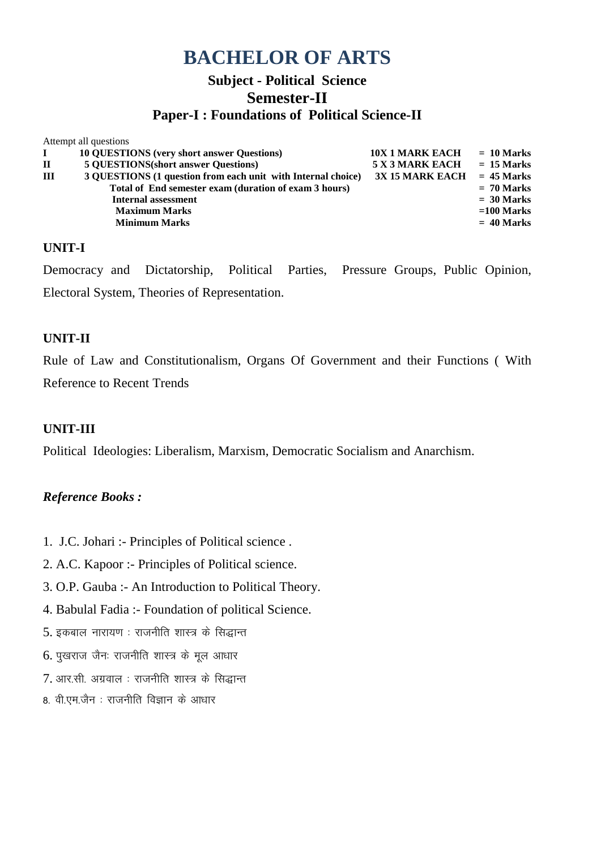## **Subject - Political Science Semester-II Paper-I : Foundations of Political Science-II**

|              | Attempt all questions                                        |                        |              |
|--------------|--------------------------------------------------------------|------------------------|--------------|
|              | <b>10 QUESTIONS (very short answer Questions)</b>            | <b>10X 1 MARK EACH</b> | $= 10$ Marks |
| $\mathbf{I}$ | <b>5 QUESTIONS(short answer Questions)</b>                   | 5 X 3 MARK EACH        | $= 15$ Marks |
| Ш            | 3 QUESTIONS (1 question from each unit with Internal choice) | 3X 15 MARK EACH        | $= 45$ Marks |
|              | Total of End semester exam (duration of exam 3 hours)        |                        | $= 70$ Marks |
|              | Internal assessment                                          |                        | $= 30$ Marks |
|              | <b>Maximum Marks</b>                                         |                        | $=100$ Marks |
|              | <b>Minimum Marks</b>                                         |                        | $= 40$ Marks |
|              |                                                              |                        |              |

#### **UNIT-I**

Democracy and Dictatorship, Political Parties, Pressure Groups, Public Opinion, Electoral System, Theories of Representation.

### **UNIT-II**

Rule of Law and Constitutionalism, Organs Of Government and their Functions ( With Reference to Recent Trends

#### **UNIT-III**

Political Ideologies: Liberalism, Marxism, Democratic Socialism and Anarchism.

- 1. J.C. Johari :- Principles of Political science .
- 2. A.C. Kapoor :- Principles of Political science.
- 3. O.P. Gauba :- An Introduction to Political Theory.
- 4. Babulal Fadia :- Foundation of political Science.
- $5.$  इकबाल नारायण : राजनीति शास्त्र के सिद्धान्त
- $6.$  पुखराज जैनः राजनीति शास्त्र के मूल आधार
- $7.$  आर.सी. अग्रवाल : राजनीति शास्त्र के सिद्धान्त
- 8. वी.एम.जैन : राजनीति विज्ञान के आधार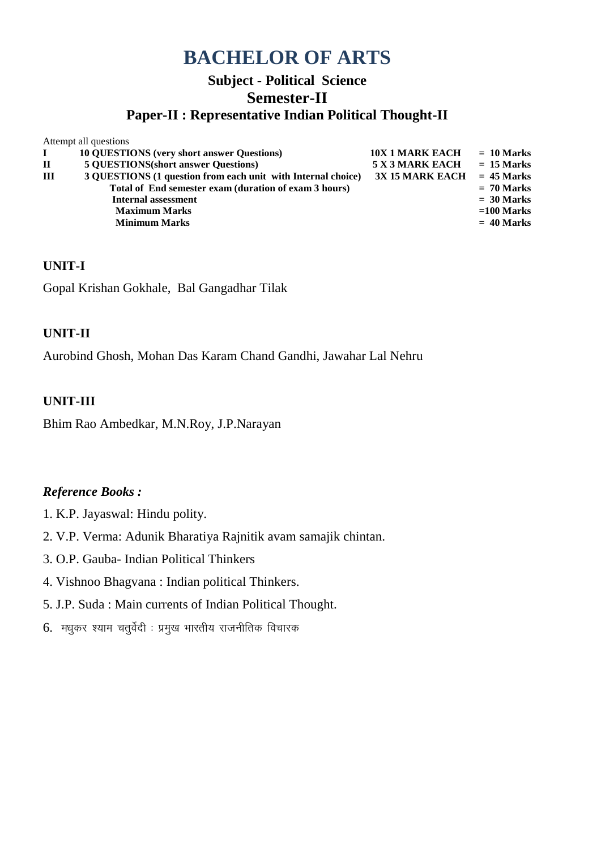# **Subject - Political Science Semester-II**

### **Paper-II : Representative Indian Political Thought-II**

| <b>10 QUESTIONS (very short answer Questions)</b>            | <b>10X 1 MARK EACH</b> | $= 10$ Marks |
|--------------------------------------------------------------|------------------------|--------------|
| <b>5 QUESTIONS</b> (short answer Questions)                  | 5 X 3 MARK EACH        | $= 15$ Marks |
| 3 QUESTIONS (1 question from each unit with Internal choice) | <b>3X 15 MARK EACH</b> | $= 45$ Marks |
| Total of End semester exam (duration of exam 3 hours)        |                        | $= 70$ Marks |
| <b>Internal assessment</b>                                   |                        | $= 30$ Marks |
| <b>Maximum Marks</b>                                         |                        | $=100$ Marks |
| <b>Minimum Marks</b>                                         |                        | $= 40$ Marks |
|                                                              | Attempt all questions  |              |

#### **UNIT-I**

Gopal Krishan Gokhale, Bal Gangadhar Tilak

### **UNIT-II**

Aurobind Ghosh, Mohan Das Karam Chand Gandhi, Jawahar Lal Nehru

#### **UNIT-III**

Bhim Rao Ambedkar, M.N.Roy, J.P.Narayan

- 1. K.P. Jayaswal: Hindu polity.
- 2. V.P. Verma: Adunik Bharatiya Rajnitik avam samajik chintan.
- 3. O.P. Gauba- Indian Political Thinkers
- 4. Vishnoo Bhagvana : Indian political Thinkers.
- 5. J.P. Suda : Main currents of Indian Political Thought.
- $6.$  मधुकर श्याम चतुर्वेदी : प्रमुख भारतीय राजनीतिक विचारक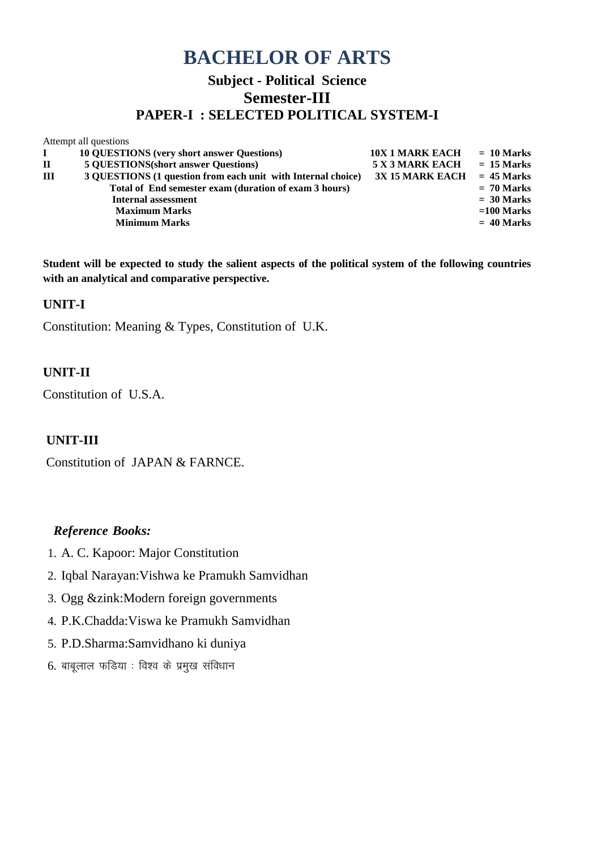## **Subject - Political Science Semester-III PAPER-I : SELECTED POLITICAL SYSTEM-I**

|       | Attempt all questions                                        |                        |              |
|-------|--------------------------------------------------------------|------------------------|--------------|
| L     | <b>10 QUESTIONS</b> (very short answer Questions)            | <b>10X 1 MARK EACH</b> | $= 10$ Marks |
| $\Pi$ | <b>5 QUESTIONS</b> (short answer Questions)                  | 5 X 3 MARK EACH        | $= 15$ Marks |
| Ш     | 3 QUESTIONS (1 question from each unit with Internal choice) | 3X 15 MARK EACH        | $= 45$ Marks |
|       | Total of End semester exam (duration of exam 3 hours)        |                        | $= 70$ Marks |
|       | Internal assessment                                          |                        | $= 30$ Marks |
|       | <b>Maximum Marks</b>                                         |                        | $=100$ Marks |
|       | <b>Minimum Marks</b>                                         |                        | $= 40$ Marks |
|       |                                                              |                        |              |

**Student will be expected to study the salient aspects of the political system of the following countries with an analytical and comparative perspective.**

#### **UNIT-I**

Constitution: Meaning & Types, Constitution of U.K.

### **UNIT-II**

Constitution of U.S.A.

#### **UNIT-III**

Constitution of JAPAN & FARNCE.

- 1. A. C. Kapoor: Major Constitution
- 2. Iqbal Narayan:Vishwa ke Pramukh Samvidhan
- 3. Ogg &zink:Modern foreign governments
- 4. P.K.Chadda:Viswa ke Pramukh Samvidhan
- 5. P.D.Sharma:Samvidhano ki duniya
- $6.$  बाबूलाल फडिया : विश्व के प्रमुख संविधान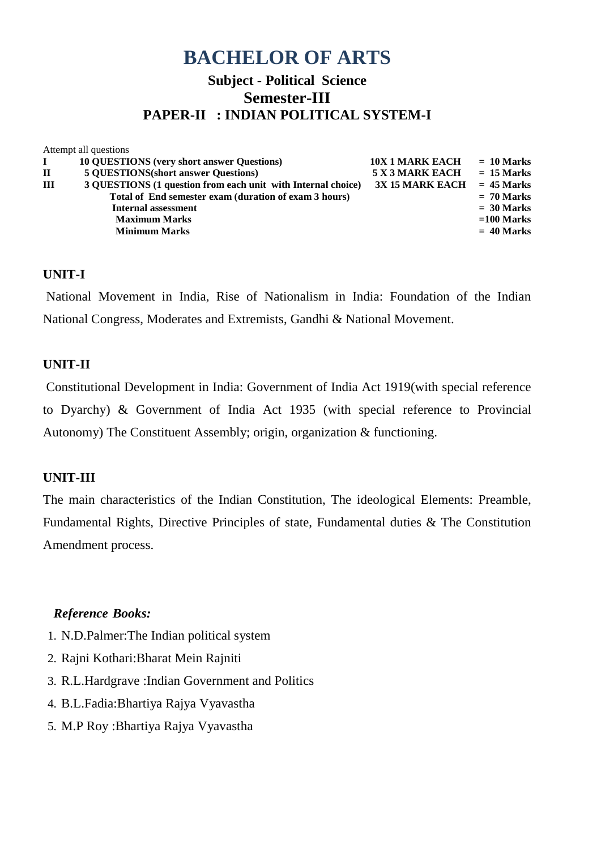## **Subject - Political Science Semester-III PAPER-II : INDIAN POLITICAL SYSTEM-I**

|              | Attempt all questions                                        |                        |              |
|--------------|--------------------------------------------------------------|------------------------|--------------|
|              | <b>10 QUESTIONS (very short answer Questions)</b>            | <b>10X 1 MARK EACH</b> | $= 10$ Marks |
| $\mathbf{I}$ | <b>5 QUESTIONS</b> (short answer Questions)                  | 5 X 3 MARK EACH        | $= 15$ Marks |
| Ш            | 3 QUESTIONS (1 question from each unit with Internal choice) | <b>3X 15 MARK EACH</b> | $= 45$ Marks |
|              | Total of End semester exam (duration of exam 3 hours)        |                        | $= 70$ Marks |
|              | Internal assessment                                          |                        | $= 30$ Marks |
|              | <b>Maximum Marks</b>                                         |                        | $=100$ Marks |
|              | <b>Minimum Marks</b>                                         |                        | $= 40$ Marks |
|              |                                                              |                        |              |

### **UNIT-I**

National Movement in India, Rise of Nationalism in India: Foundation of the Indian National Congress, Moderates and Extremists, Gandhi & National Movement.

### **UNIT-II**

Constitutional Development in India: Government of India Act 1919(with special reference to Dyarchy) & Government of India Act 1935 (with special reference to Provincial Autonomy) The Constituent Assembly; origin, organization & functioning.

#### **UNIT-III**

The main characteristics of the Indian Constitution, The ideological Elements: Preamble, Fundamental Rights, Directive Principles of state, Fundamental duties & The Constitution Amendment process.

- 1. N.D.Palmer:The Indian political system
- 2. Rajni Kothari:Bharat Mein Rajniti
- 3. R.L.Hardgrave :Indian Government and Politics
- 4. B.L.Fadia:Bhartiya Rajya Vyavastha
- 5. M.P Roy :Bhartiya Rajya Vyavastha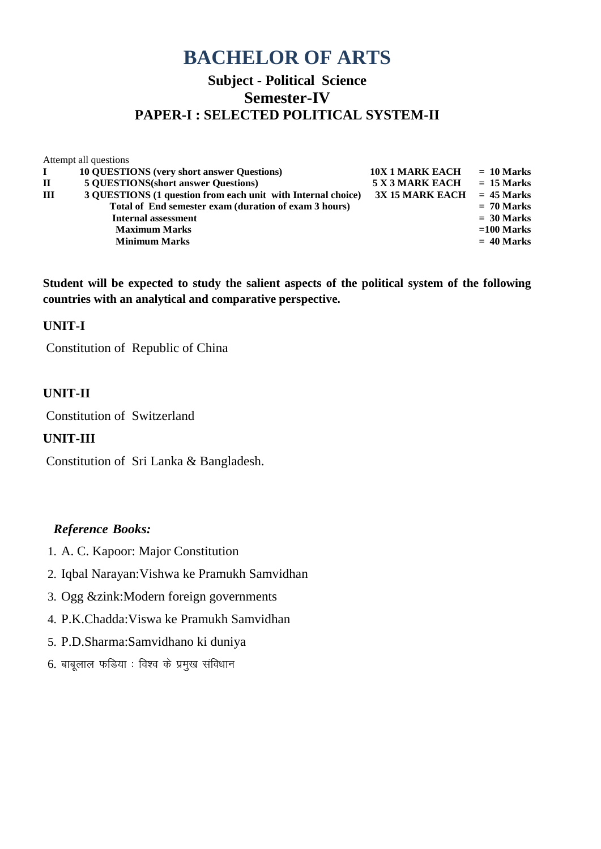## **Subject - Political Science Semester-IV PAPER-I : SELECTED POLITICAL SYSTEM-II**

|   | Attempt all questions                                        |                        |              |
|---|--------------------------------------------------------------|------------------------|--------------|
| L | <b>10 QUESTIONS</b> (very short answer Questions)            | <b>10X 1 MARK EACH</b> | $= 10$ Marks |
| П | <b>5 QUESTIONS</b> (short answer Questions)                  | 5 X 3 MARK EACH        | $= 15$ Marks |
| Ш | 3 QUESTIONS (1 question from each unit with Internal choice) | 3X 15 MARK EACH        | $= 45$ Marks |
|   | Total of End semester exam (duration of exam 3 hours)        |                        | $= 70$ Marks |
|   | <b>Internal assessment</b>                                   |                        | $= 30$ Marks |
|   | <b>Maximum Marks</b>                                         |                        | $=100$ Marks |
|   | <b>Minimum Marks</b>                                         |                        | $= 40$ Marks |
|   |                                                              |                        |              |

**Student will be expected to study the salient aspects of the political system of the following countries with an analytical and comparative perspective.**

#### **UNIT-I**

Constitution of Republic of China

#### **UNIT-II**

Constitution of Switzerland

### **UNIT-III**

Constitution of Sri Lanka & Bangladesh.

- 1. A. C. Kapoor: Major Constitution
- 2. Iqbal Narayan:Vishwa ke Pramukh Samvidhan
- 3. Ogg &zink:Modern foreign governments
- 4. P.K.Chadda:Viswa ke Pramukh Samvidhan
- 5. P.D.Sharma:Samvidhano ki duniya
- $6.$  बाबूलाल फडिया : विश्व के प्रमुख संविधान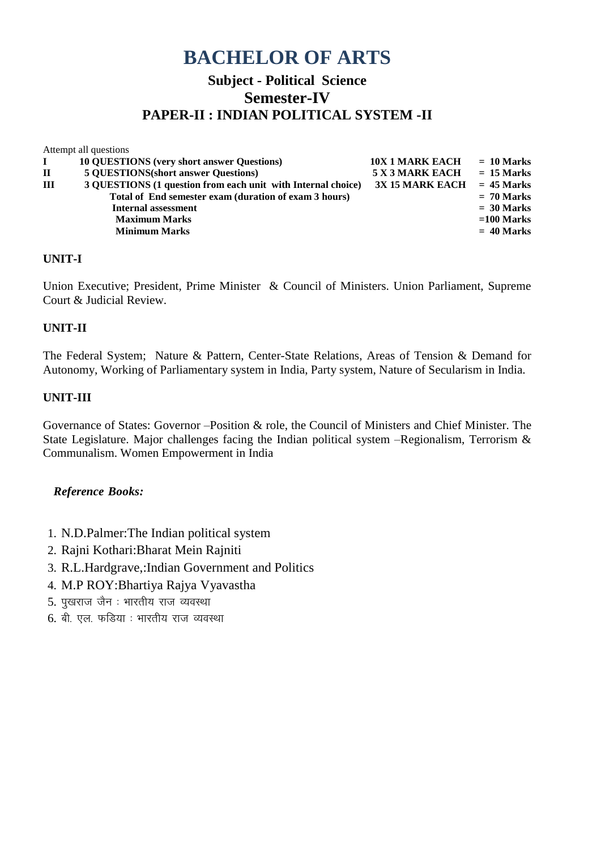## **Subject - Political Science Semester-IV PAPER-II : INDIAN POLITICAL SYSTEM -II**

| Attempt all questions                                        |                        |              |
|--------------------------------------------------------------|------------------------|--------------|
| <b>10 QUESTIONS (very short answer Questions)</b>            | <b>10X 1 MARK EACH</b> | $= 10$ Marks |
| <b>5 QUESTIONS</b> (short answer Questions)                  | 5 X 3 MARK EACH        | $= 15$ Marks |
| 3 QUESTIONS (1 question from each unit with Internal choice) | <b>3X 15 MARK EACH</b> | $= 45$ Marks |
| Total of End semester exam (duration of exam 3 hours)        |                        | $= 70$ Marks |
| <b>Internal assessment</b>                                   |                        | $= 30$ Marks |
| <b>Maximum Marks</b>                                         |                        | $=100$ Marks |
| <b>Minimum Marks</b>                                         |                        | $= 40$ Marks |
|                                                              |                        |              |

#### **UNIT-I**

Union Executive; President, Prime Minister & Council of Ministers. Union Parliament, Supreme Court & Judicial Review.

#### **UNIT-II**

The Federal System; Nature & Pattern, Center-State Relations, Areas of Tension & Demand for Autonomy, Working of Parliamentary system in India, Party system, Nature of Secularism in India.

#### **UNIT-III**

Governance of States: Governor –Position & role, the Council of Ministers and Chief Minister. The State Legislature. Major challenges facing the Indian political system –Regionalism, Terrorism & Communalism. Women Empowerment in India

- 1. N.D.Palmer:The Indian political system
- 2. Rajni Kothari:Bharat Mein Rajniti
- 3. R.L.Hardgrave,:Indian Government and Politics
- 4. M.P ROY:Bhartiya Rajya Vyavastha
- $5.$  पखराज जैन: भारतीय राज व्यवस्था
- $6.$  बी. एल. फडिया : भारतीय राज व्यवस्था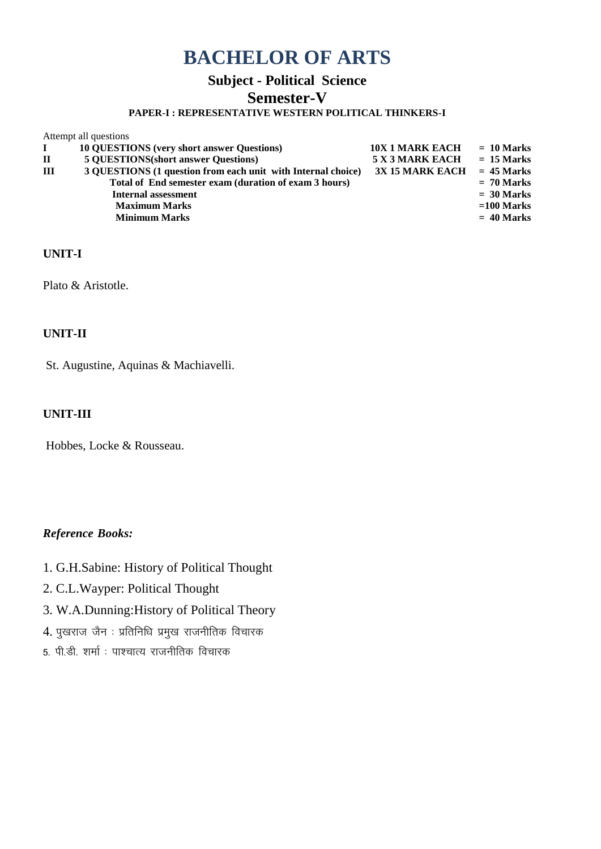## **Subject - Political Science**

### **Semester-V**

#### **PAPER-I : REPRESENTATIVE WESTERN POLITICAL THINKERS-I**

|              | Attempt all questions                                        |                        |              |
|--------------|--------------------------------------------------------------|------------------------|--------------|
|              | <b>10 QUESTIONS</b> (very short answer Questions)            | <b>10X 1 MARK EACH</b> | $= 10$ Marks |
| $\mathbf{I}$ | <b>5 QUESTIONS</b> (short answer Questions)                  | 5 X 3 MARK EACH        | $= 15$ Marks |
| Ш            | 3 QUESTIONS (1 question from each unit with Internal choice) | <b>3X 15 MARK EACH</b> | $= 45$ Marks |
|              | Total of End semester exam (duration of exam 3 hours)        |                        | $= 70$ Marks |
|              | Internal assessment                                          |                        | $= 30$ Marks |
|              | <b>Maximum Marks</b>                                         |                        | $=100$ Marks |
|              | <b>Minimum Marks</b>                                         |                        | $= 40$ Marks |
|              |                                                              |                        |              |

#### **UNIT-I**

Plato & Aristotle.

#### **UNIT-II**

St. Augustine, Aquinas & Machiavelli.

#### **UNIT-III**

Hobbes, Locke & Rousseau.

- 1. G.H.Sabine: History of Political Thought
- 2. C.L.Wayper: Political Thought
- 3. W.A.Dunning:History of Political Theory
- $4.$  पुखराज जैन : प्रतिनिधि प्रमुख राजनीतिक विचारक
- 5. पी.डी. शर्मा : पाश्चात्य राजनीतिक विचारक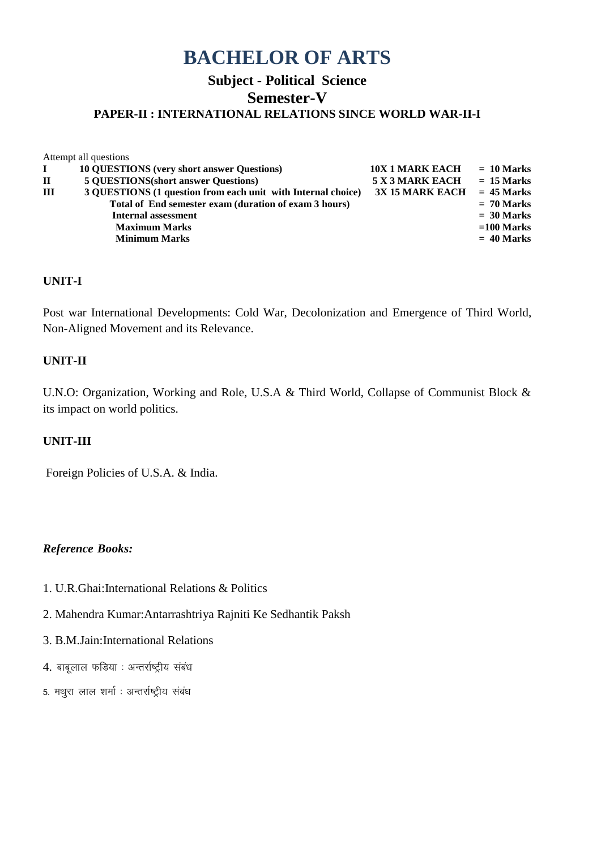### **Subject - Political Science Semester-V PAPER-II : INTERNATIONAL RELATIONS SINCE WORLD WAR-II-I**

Attempt all questions

|             | <b>10 QUESTIONS</b> (very short answer Questions)            | <b>10X 1 MARK EACH</b> | $= 10$ Marks |
|-------------|--------------------------------------------------------------|------------------------|--------------|
| $\mathbf H$ | <b>5 QUESTIONS(short answer Questions)</b>                   | 5 X 3 MARK EACH        | $= 15$ Marks |
| III         | 3 QUESTIONS (1 question from each unit with Internal choice) | 3X 15 MARK EACH        | $= 45$ Marks |
|             | Total of End semester exam (duration of exam 3 hours)        |                        | $= 70$ Marks |
|             | Internal assessment                                          |                        | $= 30$ Marks |
|             | <b>Maximum Marks</b>                                         |                        | $=100$ Marks |
|             | <b>Minimum Marks</b>                                         |                        | $= 40$ Marks |
|             |                                                              |                        |              |

#### **UNIT-I**

Post war International Developments: Cold War, Decolonization and Emergence of Third World, Non-Aligned Movement and its Relevance.

#### **UNIT-II**

U.N.O: Organization, Working and Role, U.S.A & Third World, Collapse of Communist Block & its impact on world politics.

#### **UNIT-III**

Foreign Policies of U.S.A. & India.

- 1. U.R.Ghai:International Relations & Politics
- 2. Mahendra Kumar:Antarrashtriya Rajniti Ke Sedhantik Paksh
- 3. B.M.Jain:International Relations
- 4. बाबूलाल फडिया : अन्तर्राष्ट्रीय संबंध
- 5. मथुरा लाल शर्मा : अन्तर्राष्ट्रीय संबंध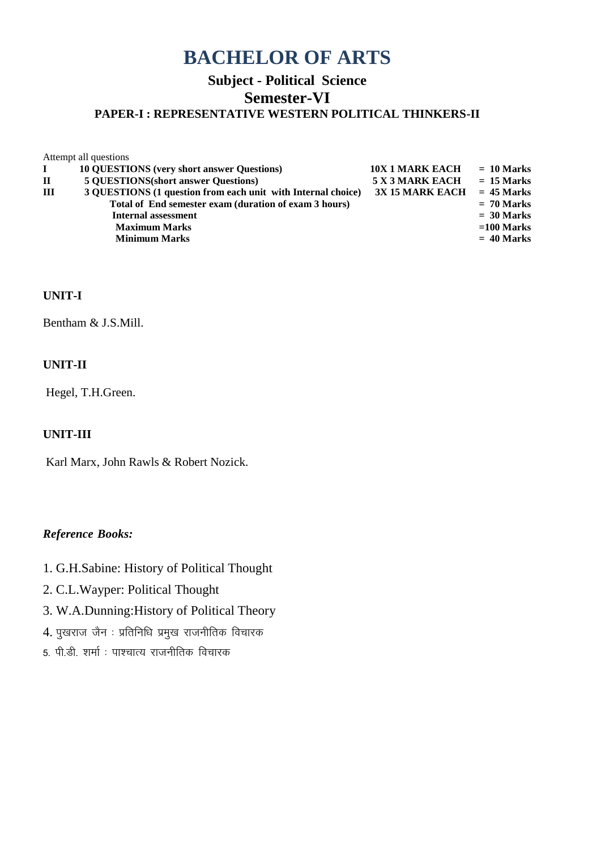### **Subject - Political Science Semester-VI PAPER-I : REPRESENTATIVE WESTERN POLITICAL THINKERS-II**

Attempt all questions **I** 10 QUESTIONS (very short answer Questions) 10X 1 MARK EACH = 10 Marks **II 5 QUESTIONS(short answer Questions) 5 X 3 MARK EACH = 15 Marks III 3 QUESTIONS (1 question from each unit with Internal choice) 3X 15 MARK EACH = 45 Marks Total of End semester exam (duration of exam 3 hours) = 70 Marks Internal assessment**  $= 30$  Marks<br>Maximum Marks  $= 100$  Marks **Maximum Marks**  $=100$  Marks  $=40$  Marks  $=40$  Marks  $=40$  Marks **Minimum Marks = 40 Marks**

#### **UNIT-I**

Bentham & J.S.Mill.

#### **UNIT-II**

Hegel, T.H.Green.

#### **UNIT-III**

Karl Marx, John Rawls & Robert Nozick.

- 1. G.H.Sabine: History of Political Thought
- 2. C.L.Wayper: Political Thought
- 3. W.A.Dunning:History of Political Theory
- $4.$  पुखराज जैन : प्रतिनिधि प्रमुख राजनीतिक विचारक
- 5. पी.डी. शर्मा : पाश्चात्य राजनीतिक विचारक